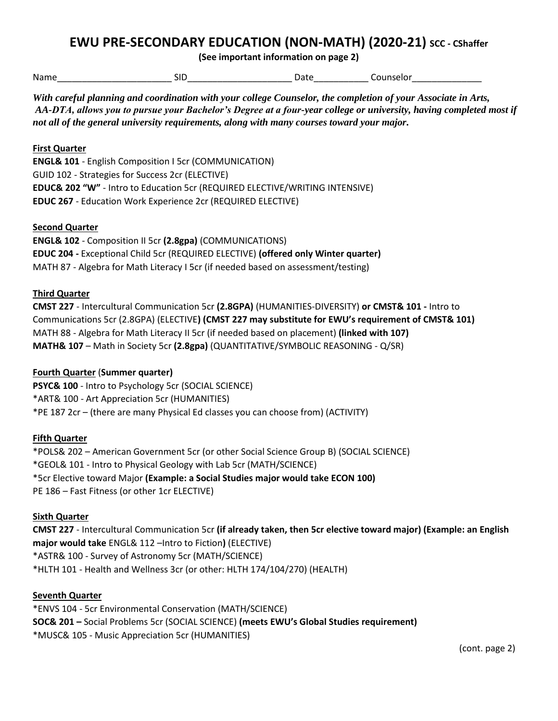# **EWU PRE-SECONDARY EDUCATION (NON-MATH) (2020-21) SCC - CShaffer**

**(See important information on page 2)**

Name\_\_\_\_\_\_\_\_\_\_\_\_\_\_\_\_\_\_\_\_\_\_\_ SID\_\_\_\_\_\_\_\_\_\_\_\_\_\_\_\_\_\_\_\_\_ Date\_\_\_\_\_\_\_\_\_\_\_ Counselor\_\_\_\_\_\_\_\_\_\_\_\_\_\_

*With careful planning and coordination with your college Counselor, the completion of your Associate in Arts, AA-DTA, allows you to pursue your Bachelor's Degree at a four-year college or university, having completed most if not all of the general university requirements, along with many courses toward your major.* 

# **First Quarter**

**ENGL& 101** - English Composition I 5cr (COMMUNICATION) GUID 102 - Strategies for Success 2cr (ELECTIVE) **EDUC& 202 "W"** - Intro to Education 5cr (REQUIRED ELECTIVE/WRITING INTENSIVE) **EDUC 267** - Education Work Experience 2cr (REQUIRED ELECTIVE)

## **Second Quarter**

**ENGL& 102** - Composition II 5cr **(2.8gpa)** (COMMUNICATIONS) **EDUC 204 -** Exceptional Child 5cr (REQUIRED ELECTIVE) **(offered only Winter quarter)** MATH 87 - Algebra for Math Literacy I 5cr (if needed based on assessment/testing)

### **Third Quarter**

**CMST 227** - Intercultural Communication 5cr **(2.8GPA)** (HUMANITIES-DIVERSITY) **or CMST& 101 -** Intro to Communications 5cr (2.8GPA) (ELECTIVE**) (CMST 227 may substitute for EWU's requirement of CMST& 101)** MATH 88 - Algebra for Math Literacy II 5cr (if needed based on placement) **(linked with 107) MATH& 107** – Math in Society 5cr **(2.8gpa)** (QUANTITATIVE/SYMBOLIC REASONING - Q/SR)

## **Fourth Quarter** (**Summer quarter)**

**PSYC& 100** - Intro to Psychology 5cr (SOCIAL SCIENCE) \*ART& 100 - Art Appreciation 5cr (HUMANITIES) \*PE 187 2cr – (there are many Physical Ed classes you can choose from) (ACTIVITY)

#### **Fifth Quarter**

\*POLS& 202 – American Government 5cr (or other Social Science Group B) (SOCIAL SCIENCE) \*GEOL& 101 - Intro to Physical Geology with Lab 5cr (MATH/SCIENCE) \*5cr Elective toward Major **(Example: a Social Studies major would take ECON 100)** PE 186 – Fast Fitness (or other 1cr ELECTIVE)

#### **Sixth Quarter**

**CMST 227** - Intercultural Communication 5cr **(if already taken, then 5cr elective toward major) (Example: an English major would take** ENGL& 112 –Intro to Fiction**)** (ELECTIVE) \*ASTR& 100 - Survey of Astronomy 5cr (MATH/SCIENCE) \*HLTH 101 - Health and Wellness 3cr (or other: HLTH 174/104/270) (HEALTH)

#### **Seventh Quarter**

\*ENVS 104 - 5cr Environmental Conservation (MATH/SCIENCE) **SOC& 201 –** Social Problems 5cr (SOCIAL SCIENCE) **(meets EWU's Global Studies requirement)** \*MUSC& 105 - Music Appreciation 5cr (HUMANITIES)

(cont. page 2)